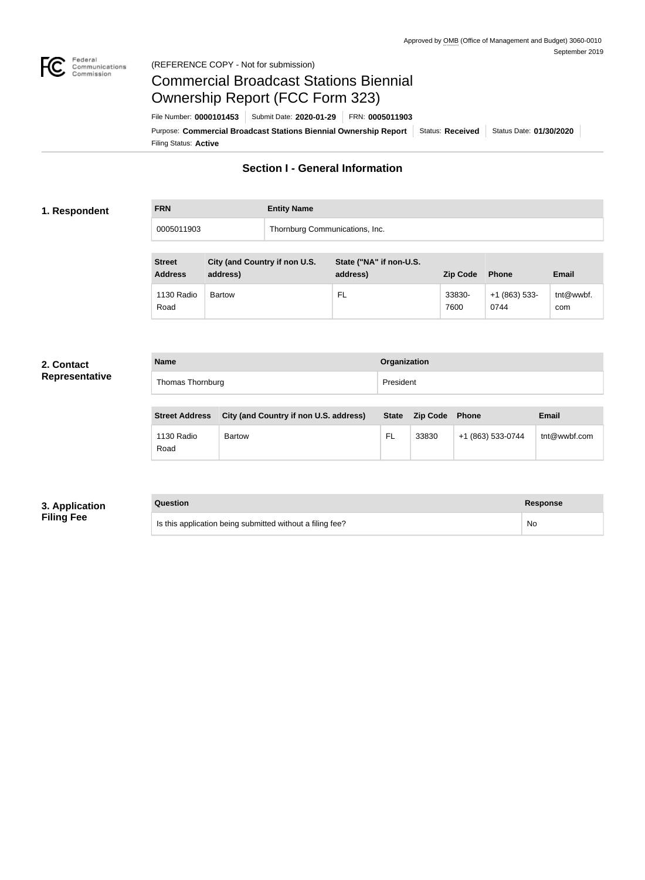

### Federal<br>Communications<br>Commission (REFERENCE COPY - Not for submission)

# Commercial Broadcast Stations Biennial Ownership Report (FCC Form 323)

Filing Status: **Active** Purpose: Commercial Broadcast Stations Biennial Ownership Report Status: Received Status Date: 01/30/2020 File Number: **0000101453** Submit Date: **2020-01-29** FRN: **0005011903**

# **Section I - General Information**

### **1. Respondent**

**FRN Entity Name**

0005011903 Thornburg Communications, Inc.

| <b>Street</b><br><b>Address</b> | City (and Country if non U.S.<br>address) | State ("NA" if non-U.S.<br>address) | <b>Zip Code</b> | <b>Phone</b>           | Email            |
|---------------------------------|-------------------------------------------|-------------------------------------|-----------------|------------------------|------------------|
| 1130 Radio<br>Road              | <b>Bartow</b>                             | FL.                                 | 33830-<br>7600  | $+1(863)$ 533-<br>0744 | tnt@wwbf.<br>com |

#### **2. Contact Representative**

| <b>Name</b>      | Organization |
|------------------|--------------|
| Thomas Thornburg | President    |

| <b>Street Address</b> | City (and Country if non U.S. address) | <b>State</b> | <b>Zip Code</b> Phone |                   | <b>Email</b> |
|-----------------------|----------------------------------------|--------------|-----------------------|-------------------|--------------|
| 1130 Radio<br>Road    | <b>Bartow</b>                          | <b>FL</b>    | 33830                 | +1 (863) 533-0744 | tnt@wwbf.com |

# **3. Application Filing Fee**

#### **Question Response**

| Is this application being submitted without a filing fee? | No |
|-----------------------------------------------------------|----|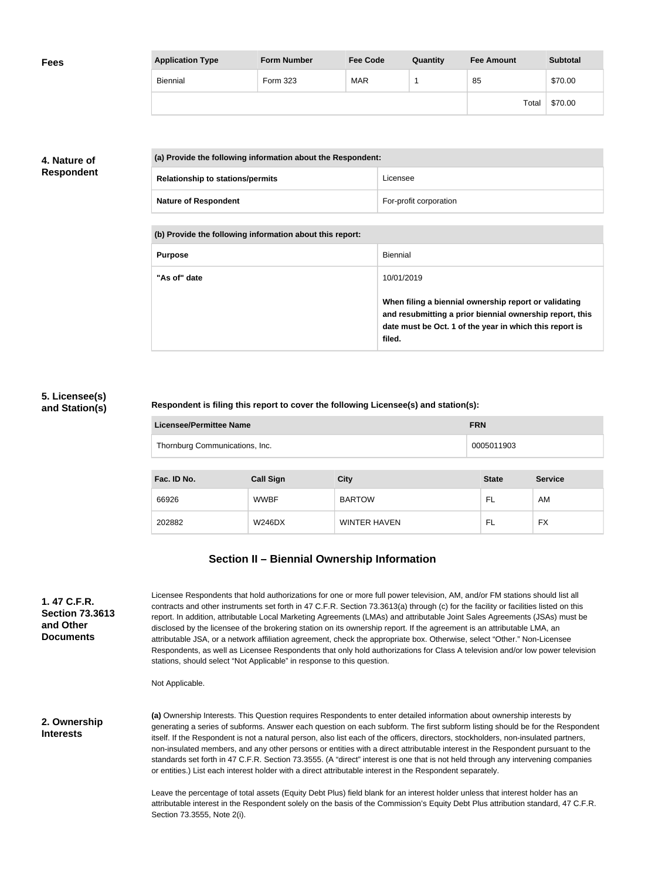| <b>Fees</b> | <b>Application Type</b> | <b>Form Number</b> | <b>Fee Code</b> | Quantity | <b>Fee Amount</b> | <b>Subtotal</b> |
|-------------|-------------------------|--------------------|-----------------|----------|-------------------|-----------------|
|             | <b>Biennial</b>         | Form 323           | <b>MAR</b>      |          | 85                | \$70.00         |
|             |                         |                    |                 |          | Total             | \$70.00         |

## **4. Nature of Respondent**

| (a) Provide the following information about the Respondent: |                        |
|-------------------------------------------------------------|------------------------|
| <b>Relationship to stations/permits</b>                     | Licensee               |
| <b>Nature of Respondent</b>                                 | For-profit corporation |

**(b) Provide the following information about this report:**

| <b>Purpose</b> | Biennial                                                                                                                                                                               |
|----------------|----------------------------------------------------------------------------------------------------------------------------------------------------------------------------------------|
| "As of" date   | 10/01/2019                                                                                                                                                                             |
|                | When filing a biennial ownership report or validating<br>and resubmitting a prior biennial ownership report, this<br>date must be Oct. 1 of the year in which this report is<br>filed. |

### **5. Licensee(s) and Station(s)**

#### **Respondent is filing this report to cover the following Licensee(s) and station(s):**

| Licensee/Permittee Name        | <b>FRN</b> |
|--------------------------------|------------|
| Thornburg Communications, Inc. | 0005011903 |

| Fac. ID No. | <b>Call Sign</b> | <b>City</b>         | <b>State</b> | <b>Service</b> |
|-------------|------------------|---------------------|--------------|----------------|
| 66926       | <b>WWBF</b>      | <b>BARTOW</b>       | - FL         | AM             |
| 202882      | <b>W246DX</b>    | <b>WINTER HAVEN</b> | - FL         | <b>FX</b>      |

# **Section II – Biennial Ownership Information**

| 1. 47 C.F.R.                        |
|-------------------------------------|
| <b>Section 73,3613</b><br>and Other |
| <b>Documents</b>                    |
|                                     |

Licensee Respondents that hold authorizations for one or more full power television, AM, and/or FM stations should list all contracts and other instruments set forth in 47 C.F.R. Section 73.3613(a) through (c) for the facility or facilities listed on this report. In addition, attributable Local Marketing Agreements (LMAs) and attributable Joint Sales Agreements (JSAs) must be disclosed by the licensee of the brokering station on its ownership report. If the agreement is an attributable LMA, an attributable JSA, or a network affiliation agreement, check the appropriate box. Otherwise, select "Other." Non-Licensee Respondents, as well as Licensee Respondents that only hold authorizations for Class A television and/or low power television stations, should select "Not Applicable" in response to this question.

Not Applicable.

**2. Ownership Interests**

**(a)** Ownership Interests. This Question requires Respondents to enter detailed information about ownership interests by generating a series of subforms. Answer each question on each subform. The first subform listing should be for the Respondent itself. If the Respondent is not a natural person, also list each of the officers, directors, stockholders, non-insulated partners, non-insulated members, and any other persons or entities with a direct attributable interest in the Respondent pursuant to the standards set forth in 47 C.F.R. Section 73.3555. (A "direct" interest is one that is not held through any intervening companies or entities.) List each interest holder with a direct attributable interest in the Respondent separately.

Leave the percentage of total assets (Equity Debt Plus) field blank for an interest holder unless that interest holder has an attributable interest in the Respondent solely on the basis of the Commission's Equity Debt Plus attribution standard, 47 C.F.R. Section 73.3555, Note 2(i).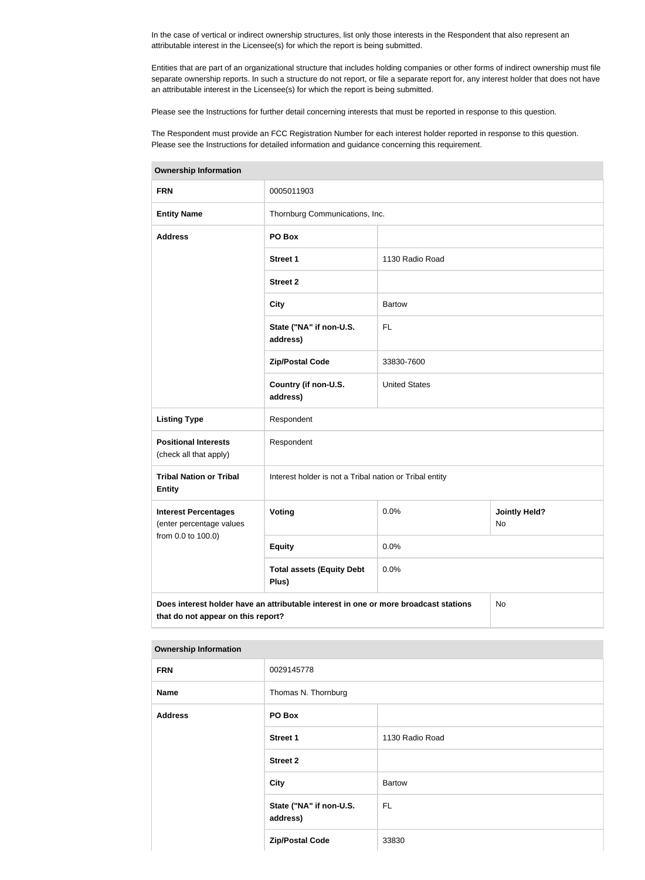In the case of vertical or indirect ownership structures, list only those interests in the Respondent that also represent an attributable interest in the Licensee(s) for which the report is being submitted.

Entities that are part of an organizational structure that includes holding companies or other forms of indirect ownership must file separate ownership reports. In such a structure do not report, or file a separate report for, any interest holder that does not have an attributable interest in the Licensee(s) for which the report is being submitted.

Please see the Instructions for further detail concerning interests that must be reported in response to this question.

The Respondent must provide an FCC Registration Number for each interest holder reported in response to this question. Please see the Instructions for detailed information and guidance concerning this requirement.

| <b>Ownership Information</b>                            |                                                                                                                                  |                      |                            |  |
|---------------------------------------------------------|----------------------------------------------------------------------------------------------------------------------------------|----------------------|----------------------------|--|
| <b>FRN</b>                                              | 0005011903                                                                                                                       |                      |                            |  |
| <b>Entity Name</b>                                      | Thornburg Communications, Inc.                                                                                                   |                      |                            |  |
| <b>Address</b>                                          | PO Box                                                                                                                           |                      |                            |  |
|                                                         | <b>Street 1</b>                                                                                                                  | 1130 Radio Road      |                            |  |
|                                                         | <b>Street 2</b>                                                                                                                  |                      |                            |  |
|                                                         | <b>City</b>                                                                                                                      | <b>Bartow</b>        |                            |  |
|                                                         | State ("NA" if non-U.S.<br>address)                                                                                              | <b>FL</b>            |                            |  |
|                                                         | <b>Zip/Postal Code</b>                                                                                                           | 33830-7600           |                            |  |
|                                                         | Country (if non-U.S.<br>address)                                                                                                 | <b>United States</b> |                            |  |
| <b>Listing Type</b>                                     | Respondent                                                                                                                       |                      |                            |  |
| <b>Positional Interests</b><br>(check all that apply)   | Respondent                                                                                                                       |                      |                            |  |
| <b>Tribal Nation or Tribal</b><br><b>Entity</b>         | Interest holder is not a Tribal nation or Tribal entity                                                                          |                      |                            |  |
| <b>Interest Percentages</b><br>(enter percentage values | Voting                                                                                                                           | 0.0%                 | <b>Jointly Held?</b><br>No |  |
| from 0.0 to 100.0)                                      | <b>Equity</b>                                                                                                                    | 0.0%                 |                            |  |
|                                                         | <b>Total assets (Equity Debt</b><br>Plus)                                                                                        | 0.0%                 |                            |  |
|                                                         | Does interest holder have an attributable interest in one or more broadcast stations<br>No<br>that do not appear on this report? |                      |                            |  |

| <b>Ownership Information</b> |                                     |                 |  |
|------------------------------|-------------------------------------|-----------------|--|
| <b>FRN</b>                   | 0029145778                          |                 |  |
| <b>Name</b>                  | Thomas N. Thornburg                 |                 |  |
| <b>Address</b>               | PO Box                              |                 |  |
|                              | <b>Street 1</b>                     | 1130 Radio Road |  |
|                              | <b>Street 2</b>                     |                 |  |
|                              | City                                | <b>Bartow</b>   |  |
|                              | State ("NA" if non-U.S.<br>address) | FL.             |  |
|                              | <b>Zip/Postal Code</b>              | 33830           |  |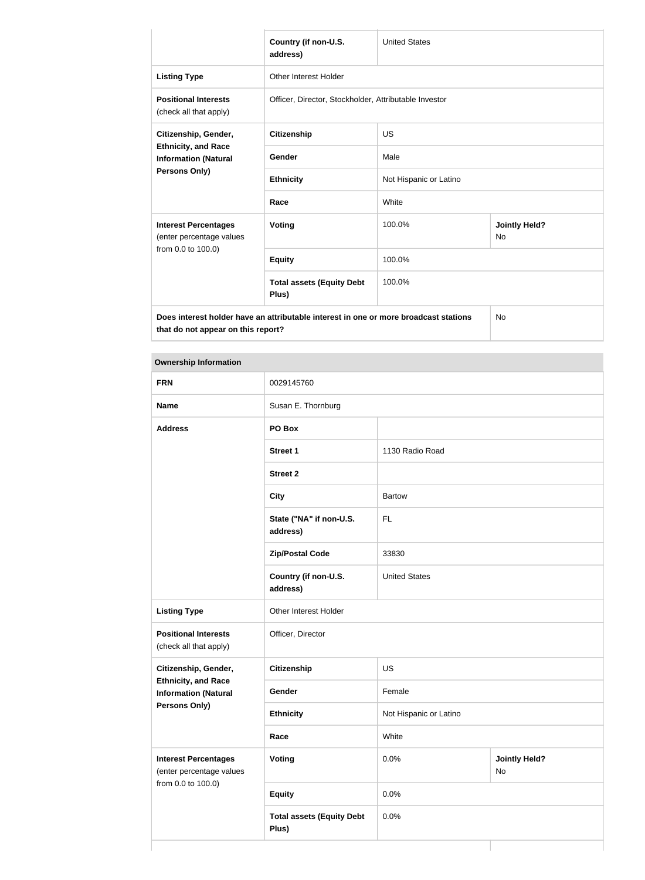|                                                                                                                            | Country (if non-U.S.<br>address)                      | <b>United States</b>   |                                   |  |
|----------------------------------------------------------------------------------------------------------------------------|-------------------------------------------------------|------------------------|-----------------------------------|--|
| <b>Listing Type</b>                                                                                                        | Other Interest Holder                                 |                        |                                   |  |
| <b>Positional Interests</b><br>(check all that apply)                                                                      | Officer, Director, Stockholder, Attributable Investor |                        |                                   |  |
| Citizenship, Gender,                                                                                                       | <b>Citizenship</b>                                    | <b>US</b>              |                                   |  |
| <b>Ethnicity, and Race</b><br><b>Information (Natural</b><br>Persons Only)                                                 | Gender                                                | Male                   |                                   |  |
|                                                                                                                            | <b>Ethnicity</b>                                      | Not Hispanic or Latino |                                   |  |
|                                                                                                                            | Race                                                  | White                  |                                   |  |
| <b>Interest Percentages</b><br>(enter percentage values<br>from 0.0 to 100.0)                                              | <b>Voting</b>                                         | 100.0%                 | <b>Jointly Held?</b><br><b>No</b> |  |
|                                                                                                                            | <b>Equity</b>                                         | 100.0%                 |                                   |  |
|                                                                                                                            | <b>Total assets (Equity Debt</b><br>Plus)             | 100.0%                 |                                   |  |
| Does interest holder have an attributable interest in one or more broadcast stations<br>that do not appear on this report? |                                                       |                        | <b>No</b>                         |  |

#### **Ownership Information**

| <b>FRN</b>                                                                    | 0029145760                                |                        |                            |
|-------------------------------------------------------------------------------|-------------------------------------------|------------------------|----------------------------|
| <b>Name</b>                                                                   | Susan E. Thornburg                        |                        |                            |
| <b>Address</b>                                                                | PO Box                                    |                        |                            |
|                                                                               | <b>Street 1</b>                           | 1130 Radio Road        |                            |
|                                                                               | <b>Street 2</b>                           |                        |                            |
|                                                                               | <b>City</b>                               | <b>Bartow</b>          |                            |
|                                                                               | State ("NA" if non-U.S.<br>address)       | <b>FL</b>              |                            |
|                                                                               | <b>Zip/Postal Code</b>                    | 33830                  |                            |
|                                                                               | Country (if non-U.S.<br>address)          | <b>United States</b>   |                            |
| <b>Listing Type</b>                                                           | Other Interest Holder                     |                        |                            |
| <b>Positional Interests</b><br>(check all that apply)                         | Officer, Director                         |                        |                            |
| Citizenship, Gender,                                                          | Citizenship                               | US                     |                            |
| <b>Ethnicity, and Race</b><br><b>Information (Natural</b>                     | Gender                                    | Female                 |                            |
| <b>Persons Only)</b>                                                          | <b>Ethnicity</b>                          | Not Hispanic or Latino |                            |
|                                                                               | Race                                      | White                  |                            |
| <b>Interest Percentages</b><br>(enter percentage values<br>from 0.0 to 100.0) | <b>Voting</b>                             | 0.0%                   | <b>Jointly Held?</b><br>No |
|                                                                               | <b>Equity</b>                             | 0.0%                   |                            |
|                                                                               | <b>Total assets (Equity Debt</b><br>Plus) | 0.0%                   |                            |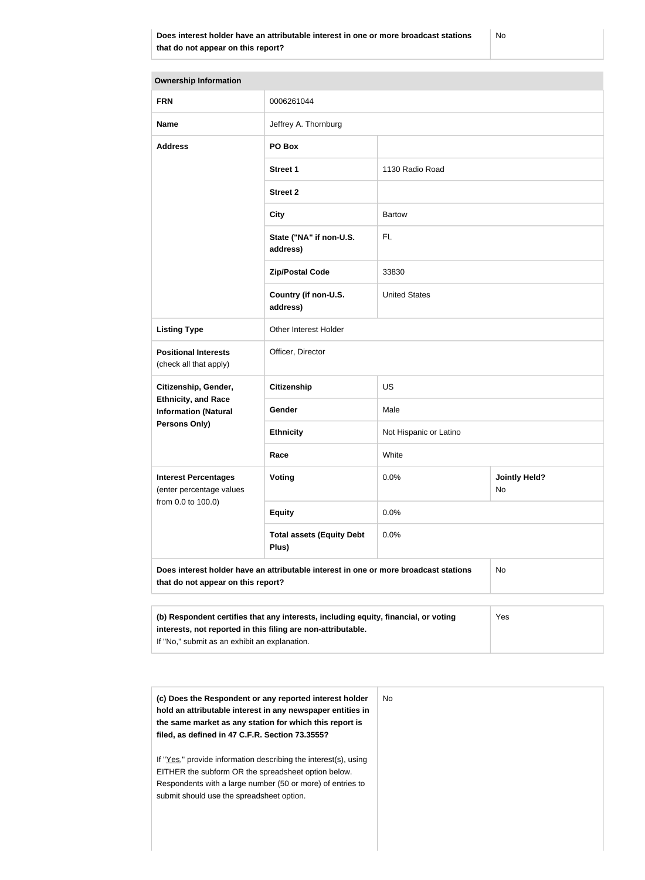| <b>Ownership Information</b>                                                                                                                        |                                           |                        |                            |  |
|-----------------------------------------------------------------------------------------------------------------------------------------------------|-------------------------------------------|------------------------|----------------------------|--|
| <b>FRN</b>                                                                                                                                          | 0006261044                                |                        |                            |  |
| <b>Name</b>                                                                                                                                         | Jeffrey A. Thornburg                      |                        |                            |  |
| <b>Address</b>                                                                                                                                      | PO Box                                    |                        |                            |  |
|                                                                                                                                                     | <b>Street 1</b>                           | 1130 Radio Road        |                            |  |
|                                                                                                                                                     | <b>Street 2</b>                           |                        |                            |  |
|                                                                                                                                                     | <b>City</b>                               | <b>Bartow</b>          |                            |  |
|                                                                                                                                                     | State ("NA" if non-U.S.<br>address)       | FL                     |                            |  |
|                                                                                                                                                     | <b>Zip/Postal Code</b>                    | 33830                  |                            |  |
|                                                                                                                                                     | Country (if non-U.S.<br>address)          | <b>United States</b>   |                            |  |
| <b>Listing Type</b>                                                                                                                                 | Other Interest Holder                     |                        |                            |  |
| <b>Positional Interests</b><br>(check all that apply)                                                                                               | Officer, Director                         |                        |                            |  |
| Citizenship, Gender,                                                                                                                                | Citizenship                               | US                     |                            |  |
| <b>Ethnicity, and Race</b><br><b>Information (Natural</b>                                                                                           | <b>Gender</b>                             | Male                   |                            |  |
| Persons Only)                                                                                                                                       | <b>Ethnicity</b>                          | Not Hispanic or Latino |                            |  |
|                                                                                                                                                     | Race                                      | White                  |                            |  |
| <b>Interest Percentages</b><br>(enter percentage values<br>from 0.0 to 100.0)                                                                       | Voting                                    | 0.0%                   | <b>Jointly Held?</b><br>No |  |
|                                                                                                                                                     | <b>Equity</b>                             | 0.0%                   |                            |  |
|                                                                                                                                                     | <b>Total assets (Equity Debt</b><br>Plus) | 0.0%                   |                            |  |
| Does interest holder have an attributable interest in one or more broadcast stations<br>that do not appear on this report?                          |                                           | No                     |                            |  |
|                                                                                                                                                     |                                           |                        |                            |  |
| (b) Respondent certifies that any interests, including equity, financial, or voting<br>interests, not reported in this filing are non-attributable. |                                           |                        | Yes                        |  |

If "No," submit as an exhibit an explanation.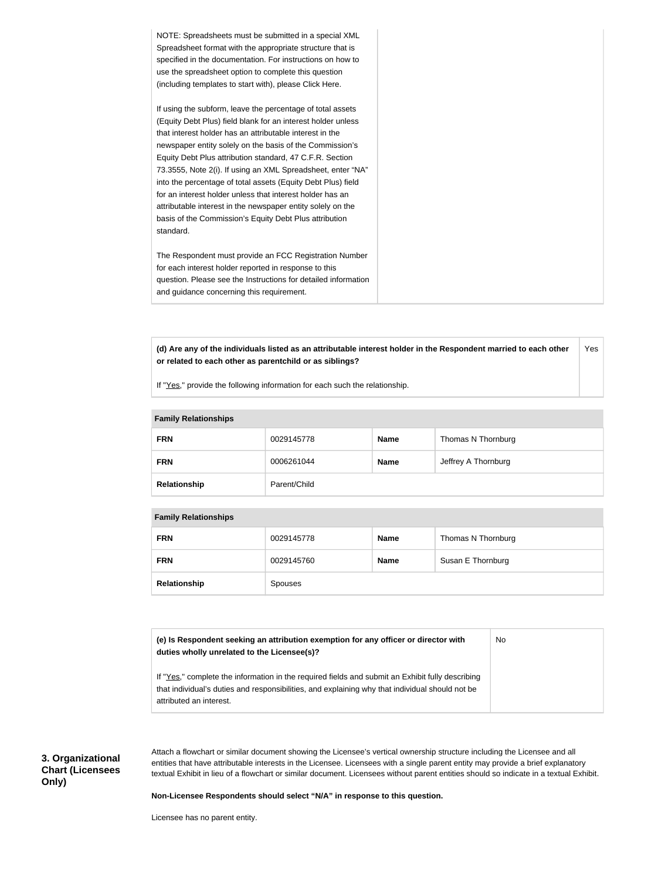| NOTE: Spreadsheets must be submitted in a special XML<br>Spreadsheet format with the appropriate structure that is<br>specified in the documentation. For instructions on how to<br>use the spreadsheet option to complete this question<br>(including templates to start with), please Click Here.                                                                                                                                                                                                                                                                                                                                              |
|--------------------------------------------------------------------------------------------------------------------------------------------------------------------------------------------------------------------------------------------------------------------------------------------------------------------------------------------------------------------------------------------------------------------------------------------------------------------------------------------------------------------------------------------------------------------------------------------------------------------------------------------------|
| If using the subform, leave the percentage of total assets<br>(Equity Debt Plus) field blank for an interest holder unless<br>that interest holder has an attributable interest in the<br>newspaper entity solely on the basis of the Commission's<br>Equity Debt Plus attribution standard, 47 C.F.R. Section<br>73.3555, Note 2(i). If using an XML Spreadsheet, enter "NA"<br>into the percentage of total assets (Equity Debt Plus) field<br>for an interest holder unless that interest holder has an<br>attributable interest in the newspaper entity solely on the<br>basis of the Commission's Equity Debt Plus attribution<br>standard. |
| The Respondent must provide an FCC Registration Number<br>for each interest holder reported in response to this<br>question. Please see the Instructions for detailed information<br>and guidance concerning this requirement.                                                                                                                                                                                                                                                                                                                                                                                                                   |

**(d) Are any of the individuals listed as an attributable interest holder in the Respondent married to each other or related to each other as parentchild or as siblings?** Yes

If "Yes," provide the following information for each such the relationship.

| $\ldots$     |              |             |                     |
|--------------|--------------|-------------|---------------------|
| <b>FRN</b>   | 0029145778   | <b>Name</b> | Thomas N Thornburg  |
| <b>FRN</b>   | 0006261044   | <b>Name</b> | Jeffrey A Thornburg |
| Relationship | Parent/Child |             |                     |

#### **Family Relationships**

| <b>FRN</b>   | 0029145778 | <b>Name</b> | Thomas N Thornburg |
|--------------|------------|-------------|--------------------|
| <b>FRN</b>   | 0029145760 | <b>Name</b> | Susan E Thornburg  |
| Relationship | Spouses    |             |                    |

**(e) Is Respondent seeking an attribution exemption for any officer or director with duties wholly unrelated to the Licensee(s)?** If "Yes," complete the information in the required fields and submit an Exhibit fully describing that individual's duties and responsibilities, and explaining why that individual should not be attributed an interest. No

**3. Organizational Chart (Licensees Only)**

Attach a flowchart or similar document showing the Licensee's vertical ownership structure including the Licensee and all entities that have attributable interests in the Licensee. Licensees with a single parent entity may provide a brief explanatory textual Exhibit in lieu of a flowchart or similar document. Licensees without parent entities should so indicate in a textual Exhibit.

**Non-Licensee Respondents should select "N/A" in response to this question.**

Licensee has no parent entity.

#### **Family Relationships**